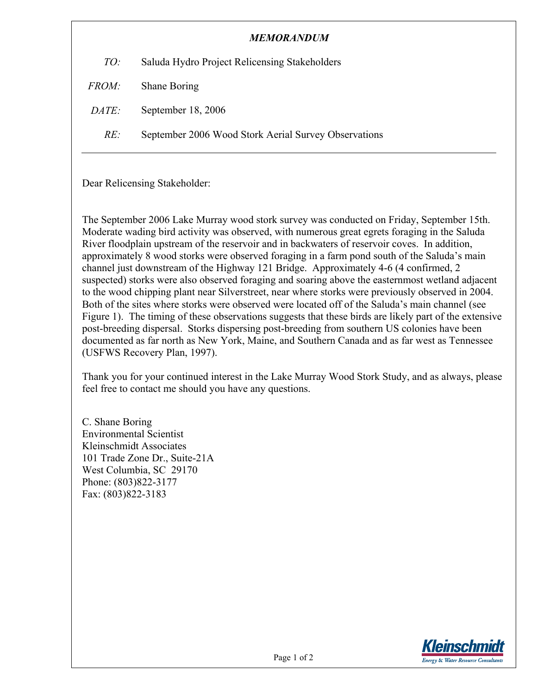| Saluda Hydro Project Relicensing Stakeholders<br>TO:        |  |
|-------------------------------------------------------------|--|
|                                                             |  |
| Shane Boring<br><i>FROM:</i>                                |  |
| September 18, 2006<br><i>DATE:</i>                          |  |
| RE:<br>September 2006 Wood Stork Aerial Survey Observations |  |

Dear Relicensing Stakeholder:

The September 2006 Lake Murray wood stork survey was conducted on Friday, September 15th. Moderate wading bird activity was observed, with numerous great egrets foraging in the Saluda River floodplain upstream of the reservoir and in backwaters of reservoir coves. In addition, approximately 8 wood storks were observed foraging in a farm pond south of the Saluda's main channel just downstream of the Highway 121 Bridge. Approximately 4-6 (4 confirmed, 2 suspected) storks were also observed foraging and soaring above the easternmost wetland adjacent to the wood chipping plant near Silverstreet, near where storks were previously observed in 2004. Both of the sites where storks were observed were located off of the Saluda's main channel (see Figure 1). The timing of these observations suggests that these birds are likely part of the extensive post-breeding dispersal. Storks dispersing post-breeding from southern US colonies have been documented as far north as New York, Maine, and Southern Canada and as far west as Tennessee (USFWS Recovery Plan, 1997).

Thank you for your continued interest in the Lake Murray Wood Stork Study, and as always, please feel free to contact me should you have any questions.

C. Shane Boring Environmental Scientist Kleinschmidt Associates 101 Trade Zone Dr., Suite-21A West Columbia, SC 29170 Phone: (803)822-3177 Fax: (803)822-3183